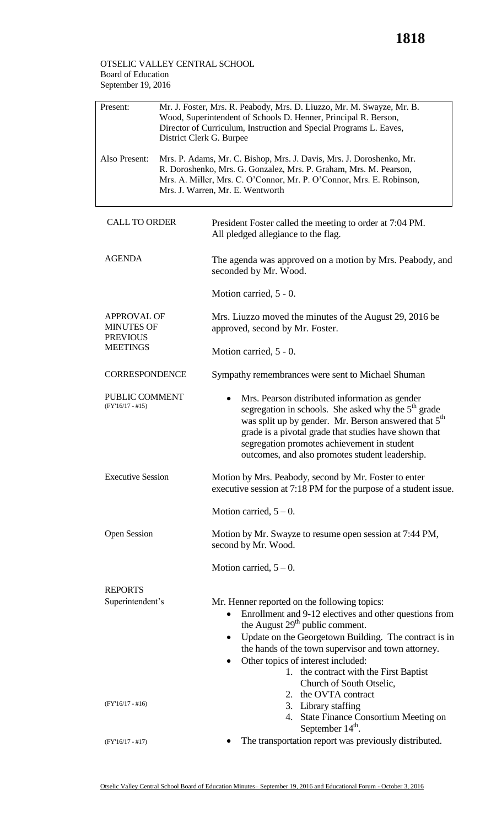## OTSELIC VALLEY CENTRAL SCHOOL Board of Education September 19, 2016

| Present:                                                                      | Mr. J. Foster, Mrs. R. Peabody, Mrs. D. Liuzzo, Mr. M. Swayze, Mr. B.<br>Wood, Superintendent of Schools D. Henner, Principal R. Berson,<br>Director of Curriculum, Instruction and Special Programs L. Eaves,<br>District Clerk G. Burpee            |                                                                                                                                                                                                                                                                                                                                                                                                                           |  |  |
|-------------------------------------------------------------------------------|-------------------------------------------------------------------------------------------------------------------------------------------------------------------------------------------------------------------------------------------------------|---------------------------------------------------------------------------------------------------------------------------------------------------------------------------------------------------------------------------------------------------------------------------------------------------------------------------------------------------------------------------------------------------------------------------|--|--|
| Also Present:                                                                 | Mrs. P. Adams, Mr. C. Bishop, Mrs. J. Davis, Mrs. J. Doroshenko, Mr.<br>R. Doroshenko, Mrs. G. Gonzalez, Mrs. P. Graham, Mrs. M. Pearson,<br>Mrs. A. Miller, Mrs. C. O'Connor, Mr. P. O'Connor, Mrs. E. Robinson,<br>Mrs. J. Warren, Mr. E. Wentworth |                                                                                                                                                                                                                                                                                                                                                                                                                           |  |  |
| <b>CALL TO ORDER</b>                                                          |                                                                                                                                                                                                                                                       | President Foster called the meeting to order at 7:04 PM.<br>All pledged allegiance to the flag.                                                                                                                                                                                                                                                                                                                           |  |  |
| <b>AGENDA</b>                                                                 |                                                                                                                                                                                                                                                       | The agenda was approved on a motion by Mrs. Peabody, and<br>seconded by Mr. Wood.                                                                                                                                                                                                                                                                                                                                         |  |  |
|                                                                               |                                                                                                                                                                                                                                                       | Motion carried, $5 - 0$ .                                                                                                                                                                                                                                                                                                                                                                                                 |  |  |
| <b>APPROVAL OF</b><br><b>MINUTES OF</b><br><b>PREVIOUS</b><br><b>MEETINGS</b> |                                                                                                                                                                                                                                                       | Mrs. Liuzzo moved the minutes of the August 29, 2016 be<br>approved, second by Mr. Foster.                                                                                                                                                                                                                                                                                                                                |  |  |
|                                                                               |                                                                                                                                                                                                                                                       | Motion carried, $5 - 0$ .                                                                                                                                                                                                                                                                                                                                                                                                 |  |  |
| <b>CORRESPONDENCE</b>                                                         |                                                                                                                                                                                                                                                       | Sympathy remembrances were sent to Michael Shuman                                                                                                                                                                                                                                                                                                                                                                         |  |  |
| PUBLIC COMMENT<br>$(FY'16/17 - #15)$                                          |                                                                                                                                                                                                                                                       | Mrs. Pearson distributed information as gender<br>segregation in schools. She asked why the 5 <sup>th</sup> grade<br>was split up by gender. Mr. Berson answered that 5 <sup>th</sup><br>grade is a pivotal grade that studies have shown that<br>segregation promotes achievement in student<br>outcomes, and also promotes student leadership.                                                                          |  |  |
| <b>Executive Session</b>                                                      |                                                                                                                                                                                                                                                       | Motion by Mrs. Peabody, second by Mr. Foster to enter<br>executive session at 7:18 PM for the purpose of a student issue.                                                                                                                                                                                                                                                                                                 |  |  |
|                                                                               |                                                                                                                                                                                                                                                       | Motion carried, $5 - 0$ .                                                                                                                                                                                                                                                                                                                                                                                                 |  |  |
| <b>Open Session</b>                                                           |                                                                                                                                                                                                                                                       | Motion by Mr. Swayze to resume open session at 7:44 PM,<br>second by Mr. Wood.                                                                                                                                                                                                                                                                                                                                            |  |  |
|                                                                               |                                                                                                                                                                                                                                                       | Motion carried, $5 - 0$ .                                                                                                                                                                                                                                                                                                                                                                                                 |  |  |
| <b>REPORTS</b>                                                                |                                                                                                                                                                                                                                                       |                                                                                                                                                                                                                                                                                                                                                                                                                           |  |  |
| Superintendent's                                                              |                                                                                                                                                                                                                                                       | Mr. Henner reported on the following topics:<br>Enrollment and 9-12 electives and other questions from<br>$\bullet$<br>the August $29th$ public comment.<br>Update on the Georgetown Building. The contract is in<br>$\bullet$<br>the hands of the town supervisor and town attorney.<br>Other topics of interest included:<br>1. the contract with the First Baptist<br>Church of South Otselic,<br>2. the OVTA contract |  |  |
| $(FY'16/17 - #16)$                                                            |                                                                                                                                                                                                                                                       | 3. Library staffing<br>4. State Finance Consortium Meeting on<br>September 14 <sup>th</sup> .                                                                                                                                                                                                                                                                                                                             |  |  |
| $(FY'16/17 - #17)$                                                            |                                                                                                                                                                                                                                                       | The transportation report was previously distributed.                                                                                                                                                                                                                                                                                                                                                                     |  |  |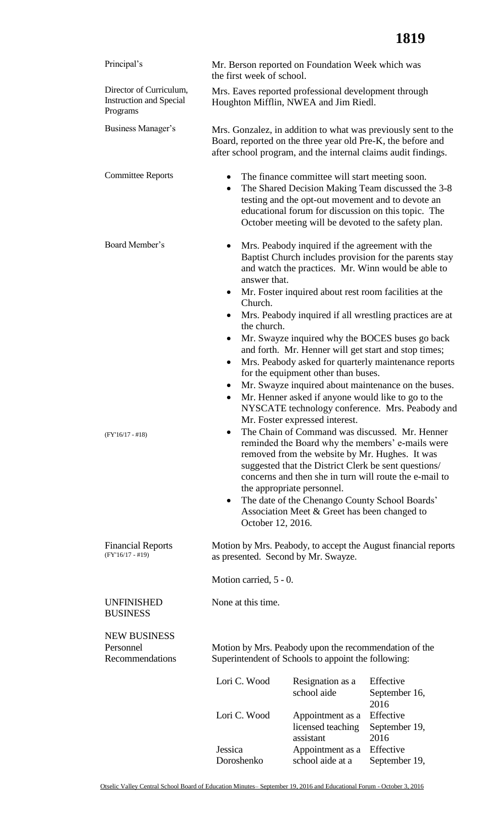| Principal's                                                           | the first week of school.                                                                                                                                                                                                                                                                                                                                                                                                                              | Mr. Berson reported on Foundation Week which was                                                    |                                                                                                                                                                                               |  |
|-----------------------------------------------------------------------|--------------------------------------------------------------------------------------------------------------------------------------------------------------------------------------------------------------------------------------------------------------------------------------------------------------------------------------------------------------------------------------------------------------------------------------------------------|-----------------------------------------------------------------------------------------------------|-----------------------------------------------------------------------------------------------------------------------------------------------------------------------------------------------|--|
| Director of Curriculum,<br><b>Instruction and Special</b><br>Programs |                                                                                                                                                                                                                                                                                                                                                                                                                                                        | Mrs. Eaves reported professional development through<br>Houghton Mifflin, NWEA and Jim Riedl.       |                                                                                                                                                                                               |  |
| Business Manager's                                                    |                                                                                                                                                                                                                                                                                                                                                                                                                                                        |                                                                                                     | Mrs. Gonzalez, in addition to what was previously sent to the<br>Board, reported on the three year old Pre-K, the before and<br>after school program, and the internal claims audit findings. |  |
| <b>Committee Reports</b>                                              | ٠<br>$\bullet$                                                                                                                                                                                                                                                                                                                                                                                                                                         | The finance committee will start meeting soon.<br>testing and the opt-out movement and to devote an | The Shared Decision Making Team discussed the 3-8<br>educational forum for discussion on this topic. The<br>October meeting will be devoted to the safety plan.                               |  |
| Board Member's                                                        | Mrs. Peabody inquired if the agreement with the<br>Baptist Church includes provision for the parents stay<br>and watch the practices. Mr. Winn would be able to<br>answer that.<br>Mr. Foster inquired about rest room facilities at the<br>$\bullet$                                                                                                                                                                                                  |                                                                                                     |                                                                                                                                                                                               |  |
|                                                                       | Church.<br>Mrs. Peabody inquired if all wrestling practices are at<br>$\bullet$                                                                                                                                                                                                                                                                                                                                                                        |                                                                                                     |                                                                                                                                                                                               |  |
|                                                                       | the church.<br>Mr. Swayze inquired why the BOCES buses go back<br>and forth. Mr. Henner will get start and stop times;<br>Mrs. Peabody asked for quarterly maintenance reports<br>$\bullet$<br>for the equipment other than buses.<br>Mr. Swayze inquired about maintenance on the buses.<br>٠<br>Mr. Henner asked if anyone would like to go to the<br>$\bullet$<br>NYSCATE technology conference. Mrs. Peabody and<br>Mr. Foster expressed interest. |                                                                                                     |                                                                                                                                                                                               |  |
| $(FY'16/17 - #18)$                                                    | The Chain of Command was discussed. Mr. Henner<br>reminded the Board why the members' e-mails were<br>removed from the website by Mr. Hughes. It was<br>suggested that the District Clerk be sent questions/<br>concerns and then she in turn will route the e-mail to<br>the appropriate personnel.<br>The date of the Chenango County School Boards'<br>$\bullet$<br>Association Meet & Greet has been changed to<br>October 12, 2016.               |                                                                                                     |                                                                                                                                                                                               |  |
| <b>Financial Reports</b><br>$(FY'16/17 - #19)$                        | Motion by Mrs. Peabody, to accept the August financial reports<br>as presented. Second by Mr. Swayze.                                                                                                                                                                                                                                                                                                                                                  |                                                                                                     |                                                                                                                                                                                               |  |
|                                                                       | Motion carried, 5 - 0.                                                                                                                                                                                                                                                                                                                                                                                                                                 |                                                                                                     |                                                                                                                                                                                               |  |
| <b>UNFINISHED</b><br><b>BUSINESS</b>                                  | None at this time.                                                                                                                                                                                                                                                                                                                                                                                                                                     |                                                                                                     |                                                                                                                                                                                               |  |
| <b>NEW BUSINESS</b><br>Personnel<br>Recommendations                   | Motion by Mrs. Peabody upon the recommendation of the<br>Superintendent of Schools to appoint the following:                                                                                                                                                                                                                                                                                                                                           |                                                                                                     |                                                                                                                                                                                               |  |
|                                                                       | Lori C. Wood                                                                                                                                                                                                                                                                                                                                                                                                                                           | Resignation as a<br>school aide                                                                     | Effective<br>September 16,<br>2016                                                                                                                                                            |  |
|                                                                       | Lori C. Wood                                                                                                                                                                                                                                                                                                                                                                                                                                           | Appointment as a<br>licensed teaching<br>assistant                                                  | Effective<br>September 19,<br>2016                                                                                                                                                            |  |
|                                                                       | Jessica<br>Doroshenko                                                                                                                                                                                                                                                                                                                                                                                                                                  | Appointment as a<br>school aide at a                                                                | Effective<br>September 19,                                                                                                                                                                    |  |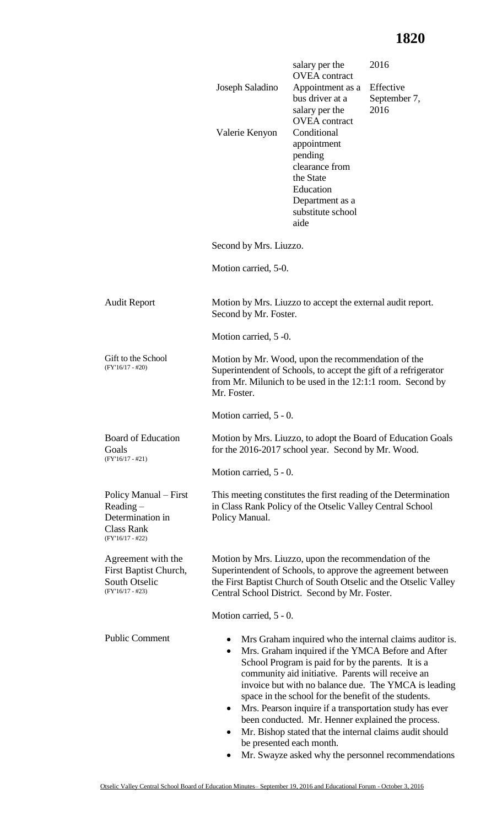## **1820**

|                                                                                                                                                                                                                                                | Joseph Saladino<br>Valerie Kenyon                                                                                                                                                                                                          | salary per the<br><b>OVEA</b> contract<br>Appointment as a<br>bus driver at a<br>salary per the<br><b>OVEA</b> contract<br>Conditional<br>appointment<br>pending<br>clearance from<br>the State<br>Education<br>Department as a<br>substitute school<br>aide | 2016<br>Effective<br>September 7,<br>2016                                                                                                                                                                                                                                                                                                        |  |
|------------------------------------------------------------------------------------------------------------------------------------------------------------------------------------------------------------------------------------------------|--------------------------------------------------------------------------------------------------------------------------------------------------------------------------------------------------------------------------------------------|--------------------------------------------------------------------------------------------------------------------------------------------------------------------------------------------------------------------------------------------------------------|--------------------------------------------------------------------------------------------------------------------------------------------------------------------------------------------------------------------------------------------------------------------------------------------------------------------------------------------------|--|
|                                                                                                                                                                                                                                                | Second by Mrs. Liuzzo.                                                                                                                                                                                                                     |                                                                                                                                                                                                                                                              |                                                                                                                                                                                                                                                                                                                                                  |  |
|                                                                                                                                                                                                                                                | Motion carried, 5-0.                                                                                                                                                                                                                       |                                                                                                                                                                                                                                                              |                                                                                                                                                                                                                                                                                                                                                  |  |
| <b>Audit Report</b>                                                                                                                                                                                                                            | Motion by Mrs. Liuzzo to accept the external audit report.<br>Second by Mr. Foster.                                                                                                                                                        |                                                                                                                                                                                                                                                              |                                                                                                                                                                                                                                                                                                                                                  |  |
|                                                                                                                                                                                                                                                | Motion carried, 5 -0.                                                                                                                                                                                                                      |                                                                                                                                                                                                                                                              |                                                                                                                                                                                                                                                                                                                                                  |  |
| Gift to the School<br>Motion by Mr. Wood, upon the recommendation of the<br>$(FY'16/17 - #20)$<br>Superintendent of Schools, to accept the gift of a refrigerator<br>from Mr. Milunich to be used in the 12:1:1 room. Second by<br>Mr. Foster. |                                                                                                                                                                                                                                            |                                                                                                                                                                                                                                                              |                                                                                                                                                                                                                                                                                                                                                  |  |
|                                                                                                                                                                                                                                                | Motion carried, 5 - 0.                                                                                                                                                                                                                     |                                                                                                                                                                                                                                                              |                                                                                                                                                                                                                                                                                                                                                  |  |
| <b>Board of Education</b><br>Goals<br>$(FY'16/17 - #21)$                                                                                                                                                                                       | Motion by Mrs. Liuzzo, to adopt the Board of Education Goals<br>for the 2016-2017 school year. Second by Mr. Wood.                                                                                                                         |                                                                                                                                                                                                                                                              |                                                                                                                                                                                                                                                                                                                                                  |  |
|                                                                                                                                                                                                                                                | Motion carried, 5 - 0.                                                                                                                                                                                                                     |                                                                                                                                                                                                                                                              |                                                                                                                                                                                                                                                                                                                                                  |  |
| Policy Manual – First<br>$Reading -$<br>Determination in<br><b>Class Rank</b><br>$(FY'16/17 - #22)$                                                                                                                                            | in Class Rank Policy of the Otselic Valley Central School<br>Policy Manual.                                                                                                                                                                |                                                                                                                                                                                                                                                              | This meeting constitutes the first reading of the Determination                                                                                                                                                                                                                                                                                  |  |
| Agreement with the<br>First Baptist Church,<br>South Otselic<br>$(FY'16/17 - #23)$                                                                                                                                                             | Motion by Mrs. Liuzzo, upon the recommendation of the<br>Superintendent of Schools, to approve the agreement between<br>the First Baptist Church of South Otselic and the Otselic Valley<br>Central School District. Second by Mr. Foster. |                                                                                                                                                                                                                                                              |                                                                                                                                                                                                                                                                                                                                                  |  |
|                                                                                                                                                                                                                                                | Motion carried, 5 - 0.                                                                                                                                                                                                                     |                                                                                                                                                                                                                                                              |                                                                                                                                                                                                                                                                                                                                                  |  |
| <b>Public Comment</b>                                                                                                                                                                                                                          | ٠<br>$\bullet$<br>$\bullet$                                                                                                                                                                                                                | School Program is paid for by the parents. It is a<br>community aid initiative. Parents will receive an<br>space in the school for the benefit of the students.<br>been conducted. Mr. Henner explained the process.<br>be presented each month.             | Mrs Graham inquired who the internal claims auditor is.<br>Mrs. Graham inquired if the YMCA Before and After<br>invoice but with no balance due. The YMCA is leading<br>Mrs. Pearson inquire if a transportation study has ever<br>Mr. Bishop stated that the internal claims audit should<br>Mr. Swayze asked why the personnel recommendations |  |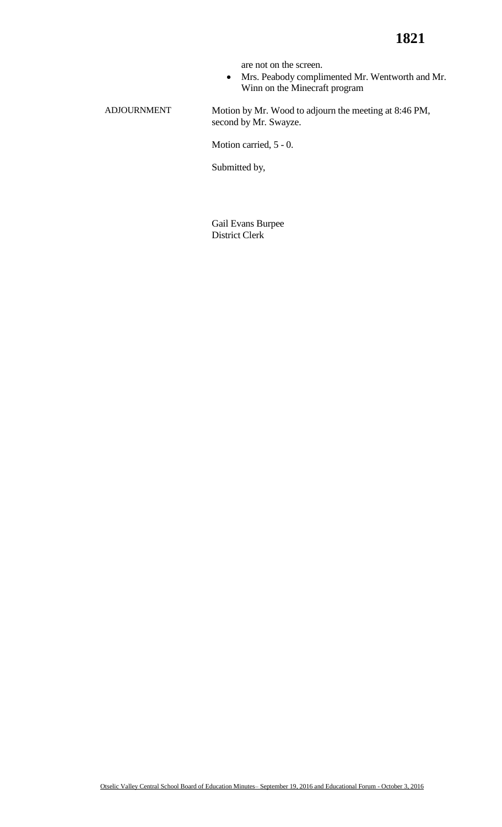are not on the screen.

 Mrs. Peabody complimented Mr. Wentworth and Mr. Winn on the Minecraft program

ADJOURNMENT Motion by Mr. Wood to adjourn the meeting at 8:46 PM, second by Mr. Swayze.

Motion carried, 5 - 0.

Submitted by,

Gail Evans Burpee District Clerk